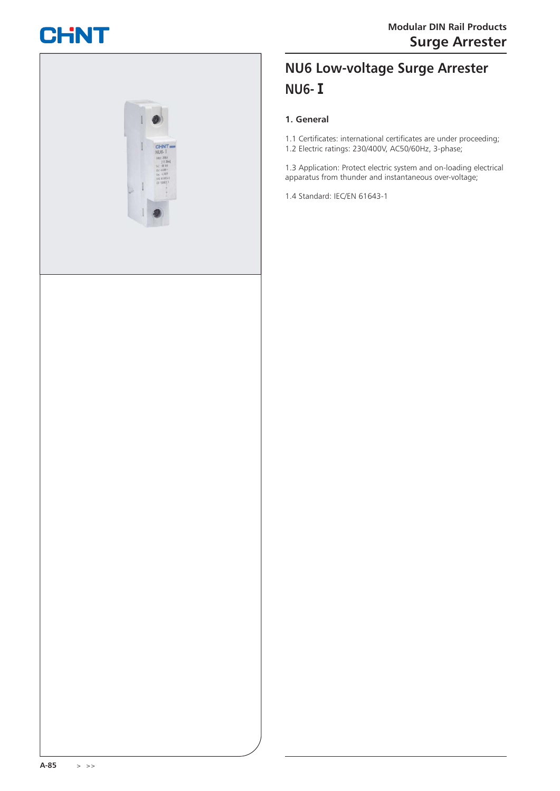# **CHNT**



## **NU6 Low-voltage Surge Arrester NU6-Ⅰ**

#### **1. General**

1.1 Certificates: international certificates are under proceeding; 1.2 Electric ratings: 230/400V, AC50/60Hz, 3-phase;

1.3 Application: Protect electric system and on-loading electrical apparatus from thunder and instantaneous over-voltage;

1.4 Standard: IEC/EN 61643-1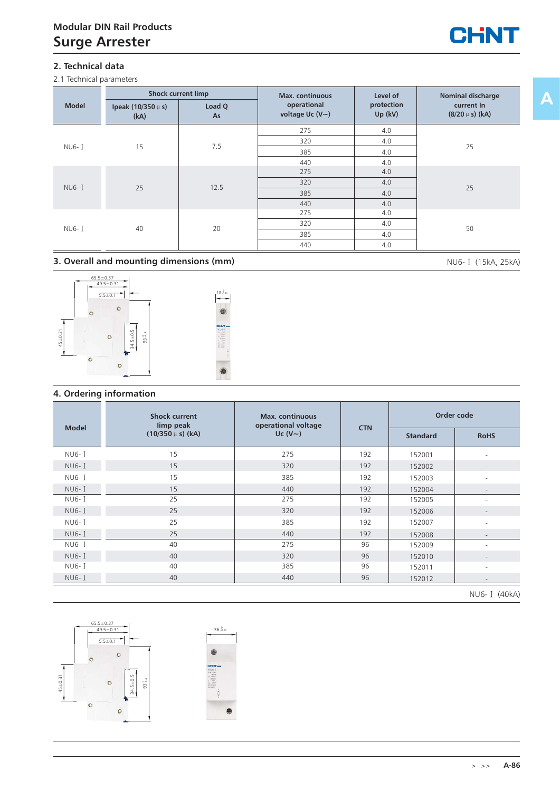

2.1 Technical parameters



#### **3. Overall and mounting dimensions (mm)** NU6- I (15kA, 25kA)



#### **4. Ordering information**

|               | <b>Shock current</b><br>limp peak | <b>Max.</b> continuous<br>operational voltage |            |                 | Order code               |
|---------------|-----------------------------------|-----------------------------------------------|------------|-----------------|--------------------------|
| <b>Model</b>  | $(10/350 \mu s)$ (kA)             | Uc $(V \sim)$                                 | <b>CTN</b> | <b>Standard</b> | <b>RoHS</b>              |
| NU6- I        | 15                                | 275                                           | 192        | 152001          |                          |
| NU6- I        | 15                                | 320                                           | 192        | 152002          |                          |
| <b>NU6-</b> I | 15                                | 385                                           | 192        | 152003          |                          |
| NU6- I        | 15                                | 440                                           | 192        | 152004          |                          |
| NU6- I        | 25                                | 275                                           | 192        | 152005          |                          |
| <b>NU6-1</b>  | 25                                | 320                                           | 192        | 152006          |                          |
| NU6- I        | 25                                | 385                                           | 192        | 152007          |                          |
| NU6- I        | 25                                | 440                                           | 192        | 152008          | $\overline{\phantom{m}}$ |
| NU6- I        | 40                                | 275                                           | 96         | 152009          |                          |
| NU6- I        | 40                                | 320                                           | 96         | 152010          |                          |
| <b>NU6-</b> I | 40                                | 385                                           | 96         | 152011          | ٠                        |
| NU6- I        | 40                                | 440                                           | 96         | 152012          |                          |
|               |                                   |                                               |            |                 | NIL C T (AOLA)           |





l XIII

**A**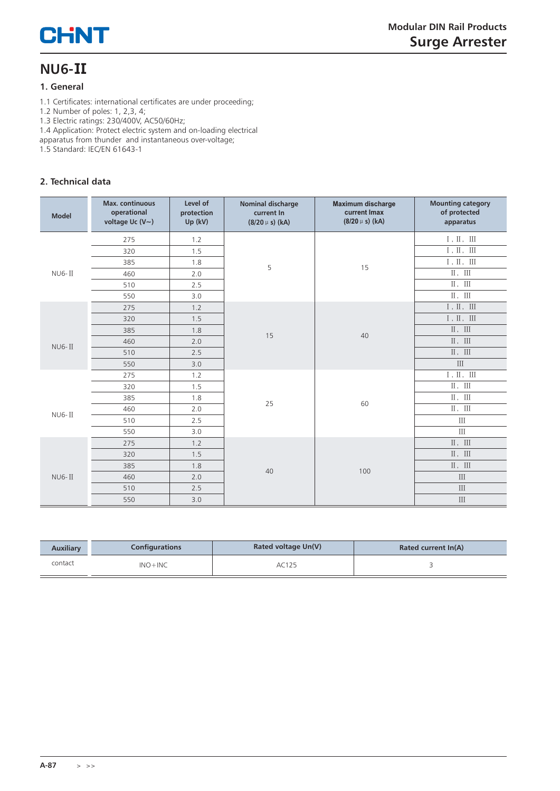# **CHNT**

## **NU6-Ⅱ**

#### **1. General**

1.1 Certificates: international certificates are under proceeding;

1.2 Number of poles: 1, 2,3, 4;

1.3 Electric ratings: 230/400V, AC50/60Hz;

1.4 Application: Protect electric system and on-loading electrical

apparatus from thunder and instantaneous over-voltage;

1.5 Standard: IEC/EN 61643-1

## **2. Technical data**

| <b>Model</b> | Max. continuous<br>operational<br>voltage Uc (V~) | Level of<br>protection<br>Up (kV) | Nominal discharge<br>current In<br>$(8/20 \mu s)$ (kA) | <b>Maximum discharge</b><br>current Imax<br>$(8/20 \mu s)$ (kA) | <b>Mounting category</b><br>of protected<br>apparatus |
|--------------|---------------------------------------------------|-----------------------------------|--------------------------------------------------------|-----------------------------------------------------------------|-------------------------------------------------------|
|              | 275                                               | 1.2                               |                                                        |                                                                 | $\rm I$ , $\rm II$ , $\rm III$                        |
|              | 320                                               | 1.5                               |                                                        |                                                                 | $\rm I$ , $\rm II$ , $\rm III$                        |
|              | 385                                               | 1.8                               | 5                                                      | 15                                                              | $\rm I$ , $\rm II$ , $\;$ III                         |
| $NUS-II$     | 460                                               | 2.0                               |                                                        |                                                                 | II, III                                               |
|              | 510                                               | 2.5                               |                                                        |                                                                 | $\,$ II $\,$ $\,$ III                                 |
|              | 550                                               | 3.0                               |                                                        |                                                                 | $\,$ II $_{\rm H}$ $\,$ III $\,$                      |
|              | 275                                               | 1.2                               |                                                        |                                                                 | $\rm I$ , $\rm II$ , $\rm III$                        |
|              | 320                                               | 1.5                               |                                                        | 40                                                              | $I$ , $II$ , $III$                                    |
|              | 385                                               | 1.8                               | 15                                                     |                                                                 | $\rm II\,,\, \,III$                                   |
| $NUS-II$     | 460                                               | 2.0                               |                                                        |                                                                 | II, III                                               |
|              | 510                                               | 2.5                               |                                                        |                                                                 | $\,$ II $_{\rm H}$ $\,$ III                           |
|              | 550                                               | 3.0                               |                                                        |                                                                 | $\rm III$                                             |
|              | 275                                               | 1.2                               |                                                        |                                                                 | $\rm I$ , $\rm II$ , $\rm III$                        |
|              | 320                                               | 1.5                               |                                                        |                                                                 | $\,$ II $\,$ III                                      |
|              | 385                                               | 1.8                               | 25                                                     | 60                                                              | II, III                                               |
| $NUS-II$     | 460                                               | 2.0                               |                                                        |                                                                 | $\,$ II $_{\rm H}$ $\,$ III                           |
|              | 510                                               | 2.5                               |                                                        |                                                                 | $\rm III$                                             |
|              | 550                                               | 3.0                               |                                                        |                                                                 | $\mathbf{III}$                                        |
|              | 275                                               | 1.2                               |                                                        |                                                                 | II, III                                               |
|              | 320                                               | 1.5                               |                                                        |                                                                 | II, III                                               |
|              | 385                                               | 1.8                               | 40                                                     |                                                                 | $\rm II\,,\, \,III$                                   |
| $NUS-II$     | 460                                               | 2.0                               |                                                        | 100                                                             | III                                                   |
|              | 510                                               | 2.5                               |                                                        |                                                                 | III                                                   |
|              | 550                                               | 3.0                               |                                                        |                                                                 | $\rm III$                                             |

| <b>Auxiliary</b> | <b>Configurations</b> | Rated voltage Un(V) | Rated current In(A) |
|------------------|-----------------------|---------------------|---------------------|
| contact          | $INO + INC$           | AC125               |                     |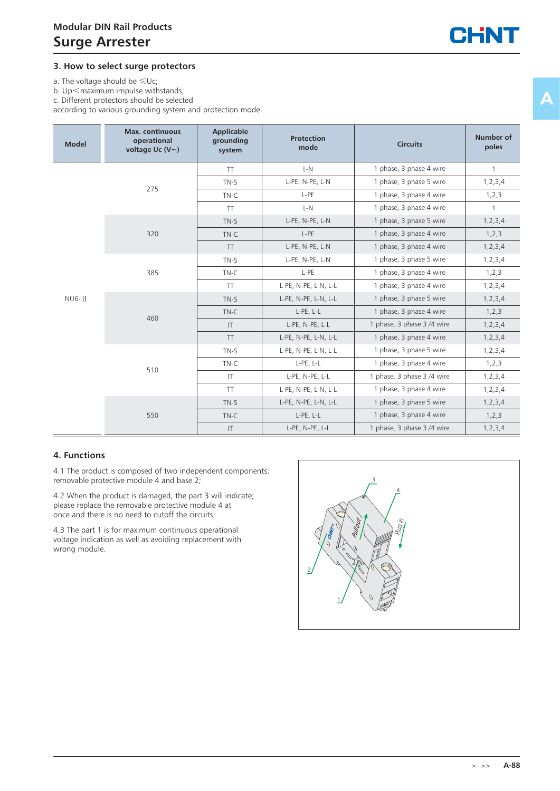#### **3. How to select surge protectors**

a. The voltage should be  $\leq \cup c$ ;

b.  $Up<$ maximum impulse withstands;

c. Different protectors should be selected

according to various grounding system and protection mode.

| <b>Model</b> | <b>Max.</b> continuous<br>operational<br>voltage Uc $(V \sim)$ | Applicable<br>grounding<br>system | <b>Protection</b><br>mode | <b>Circuits</b>            | <b>Number of</b><br>poles |
|--------------|----------------------------------------------------------------|-----------------------------------|---------------------------|----------------------------|---------------------------|
|              |                                                                | <b>TT</b>                         | $L-N$                     | 1 phase, 3 phase 4 wire    | $\mathbf{1}$              |
|              | 275                                                            | $TN-S$                            | L-PE, N-PE, L-N           | 1 phase, 3 phase 5 wire    | 1, 2, 3, 4                |
|              |                                                                | $TN-C$                            | L-PE                      | 1 phase, 3 phase 4 wire    | 1,2,3                     |
|              |                                                                | <b>TT</b>                         | $L-N$                     | 1 phase, 3 phase 4 wire    | $\mathbf{1}$              |
|              |                                                                | $TN-S$                            | L-PE, N-PE, L-N           | 1 phase, 3 phase 5 wire    | 1, 2, 3, 4                |
|              | 320                                                            | $TN-C$                            | L-PE                      | 1 phase, 3 phase 4 wire    | 1,2,3                     |
|              |                                                                | <b>TT</b>                         | L-PE, N-PE, L-N           | 1 phase, 3 phase 4 wire    | 1, 2, 3, 4                |
|              |                                                                | $TN-S$                            | L-PE, N-PE, L-N           | 1 phase, 3 phase 5 wire    | 1, 2, 3, 4                |
|              | 385                                                            | $TN-C$                            | L-PE                      | 1 phase, 3 phase 4 wire    | 1,2,3                     |
|              |                                                                | <b>TT</b>                         | L-PE, N-PE, L-N, L-L      | 1 phase, 3 phase 4 wire    | 1, 2, 3, 4                |
| $NUS$ - $II$ |                                                                | $TN-S$                            | L-PE, N-PE, L-N, L-L      | 1 phase, 3 phase 5 wire    | 1, 2, 3, 4                |
|              | 460                                                            | $TN-C$                            | L-PE, L-L                 | 1 phase, 3 phase 4 wire    | 1, 2, 3                   |
|              |                                                                | $\mathsf{I}$                      | L-PE, N-PE, L-L           | 1 phase, 3 phase 3/4 wire  | 1, 2, 3, 4                |
|              |                                                                | <b>TT</b>                         | L-PE, N-PE, L-N, L-L      | 1 phase, 3 phase 4 wire    | 1, 2, 3, 4                |
|              |                                                                | $TN-S$                            | L-PE, N-PE, L-N, L-L      | 1 phase, 3 phase 5 wire    | 1, 2, 3, 4                |
|              | 510                                                            | $TN-C$                            | L-PE, L-L                 | 1 phase, 3 phase 4 wire    | 1,2,3                     |
|              |                                                                | T                                 | L-PE, N-PE, L-L           | 1 phase, 3 phase 3/4 wire  | 1, 2, 3, 4                |
|              |                                                                | <b>TT</b>                         | L-PE, N-PE, L-N, L-L      | 1 phase, 3 phase 4 wire    | 1, 2, 3, 4                |
|              |                                                                | $TN-S$                            | L-PE, N-PE, L-N, L-L      | 1 phase, 3 phase 5 wire    | 1, 2, 3, 4                |
|              | 550                                                            | $TN-C$                            | L-PE, L-L                 | 1 phase, 3 phase 4 wire    | 1, 2, 3                   |
|              |                                                                | $\mathsf{I}\mathsf{T}$            | L-PE, N-PE, L-L           | 1 phase, 3 phase 3 /4 wire | 1, 2, 3, 4                |

#### **4. Functions**

4.1 The product is composed of two independent components: removable protective module 4 and base 2;

4.2 When the product is damaged, the part 3 will indicate; please replace the removable protective module 4 at once and there is no need to cutoff the circuits;

4.3 The part 1 is for maximum continuous operational voltage indication as well as avoiding replacement with wrong module.

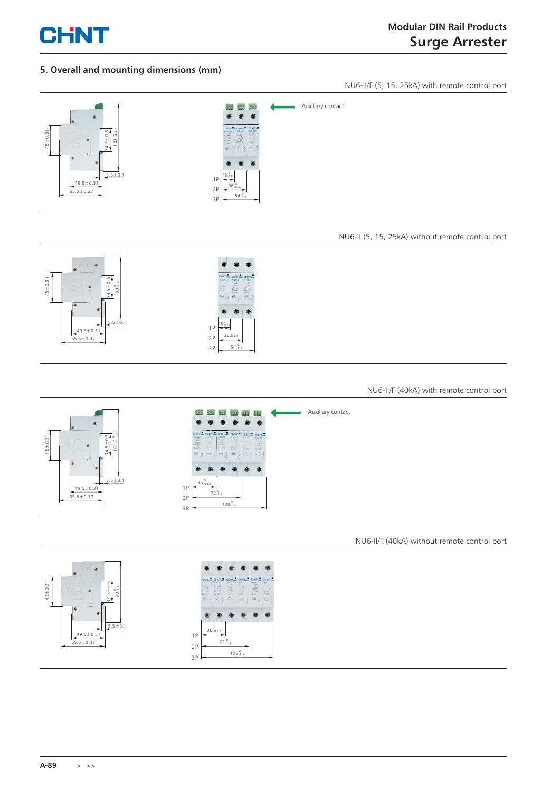

#### **5. Overall and mounting dimensions (mm)**

NU6-II/F (5, 15, 25kA) with remote control port



#### NU6-II (5, 15, 25kA) without remote control port



#### NU6-II/F (40kA) with remote control port



NU6-II/F (40kA) without remote control port

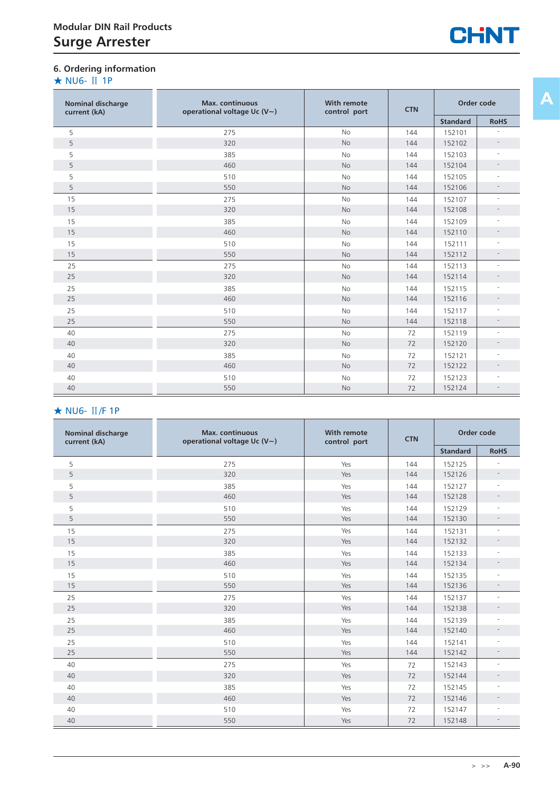## **6. Ordering information**

### ★ NU6- Ⅱ 1P

| <b>Nominal discharge</b><br>current (kA) | <b>Max.</b> continuous<br>operational voltage Uc $(V \sim)$ | <b>With remote</b><br>control port | <b>CTN</b> | Order code      |                |
|------------------------------------------|-------------------------------------------------------------|------------------------------------|------------|-----------------|----------------|
|                                          |                                                             |                                    |            | <b>Standard</b> | <b>RoHS</b>    |
| 5                                        | 275                                                         | <b>No</b>                          | 144        | 152101          |                |
| 5                                        | 320                                                         | <b>No</b>                          | 144        | 152102          |                |
| 5                                        | 385                                                         | <b>No</b>                          | 144        | 152103          |                |
| 5                                        | 460                                                         | No                                 | 144        | 152104          |                |
| 5                                        | 510                                                         | <b>No</b>                          | 144        | 152105          |                |
| 5                                        | 550                                                         | <b>No</b>                          | 144        | 152106          |                |
| 15                                       | 275                                                         | <b>No</b>                          | 144        | 152107          |                |
| 15                                       | 320                                                         | <b>No</b>                          | 144        | 152108          |                |
| 15                                       | 385                                                         | <b>No</b>                          | 144        | 152109          |                |
| 15                                       | 460                                                         | No                                 | 144        | 152110          |                |
| 15                                       | 510                                                         | <b>No</b>                          | 144        | 152111          |                |
| 15                                       | 550                                                         | <b>No</b>                          | 144        | 152112          |                |
| 25                                       | 275                                                         | <b>No</b>                          | 144        | 152113          | ÷,             |
| 25                                       | 320                                                         | <b>No</b>                          | 144        | 152114          |                |
| 25                                       | 385                                                         | <b>No</b>                          | 144        | 152115          |                |
| 25                                       | 460                                                         | <b>No</b>                          | 144        | 152116          |                |
| 25                                       | 510                                                         | <b>No</b>                          | 144        | 152117          |                |
| 25                                       | 550                                                         | <b>No</b>                          | 144        | 152118          |                |
| 40                                       | 275                                                         | No                                 | 72         | 152119          |                |
| 40                                       | 320                                                         | <b>No</b>                          | 72         | 152120          |                |
| 40                                       | 385                                                         | No                                 | 72         | 152121          |                |
| 40                                       | 460                                                         | No                                 | 72         | 152122          |                |
| 40                                       | 510                                                         | <b>No</b>                          | 72         | 152123          |                |
| 40                                       | 550                                                         | No                                 | 72         | 152124          | $\overline{a}$ |

## ★ NU6- Ⅱ/F 1P

| <b>Nominal discharge</b><br>current (kA) | <b>Max.</b> continuous<br>operational voltage Uc (V~) | <b>With remote</b><br>control port | <b>CTN</b> | Order code      |                          |
|------------------------------------------|-------------------------------------------------------|------------------------------------|------------|-----------------|--------------------------|
|                                          |                                                       |                                    |            | <b>Standard</b> | <b>RoHS</b>              |
| 5                                        | 275                                                   | Yes                                | 144        | 152125          |                          |
| 5                                        | 320                                                   | Yes                                | 144        | 152126          | $\equiv$                 |
| 5                                        | 385                                                   | Yes                                | 144        | 152127          |                          |
| 5                                        | 460                                                   | Yes                                | 144        | 152128          | $\overline{\phantom{a}}$ |
| 5                                        | 510                                                   | Yes                                | 144        | 152129          |                          |
| 5                                        | 550                                                   | Yes                                | 144        | 152130          | $\overline{\phantom{a}}$ |
| 15                                       | 275                                                   | Yes                                | 144        | 152131          | $\equiv$                 |
| 15                                       | 320                                                   | Yes                                | 144        | 152132          |                          |
| 15                                       | 385                                                   | Yes                                | 144        | 152133          |                          |
| 15                                       | 460                                                   | Yes                                | 144        | 152134          | $\overline{\phantom{a}}$ |
| 15                                       | 510                                                   | Yes                                | 144        | 152135          | $\equiv$                 |
| 15                                       | 550                                                   | Yes                                | 144        | 152136          | $\overline{\phantom{a}}$ |
| 25                                       | 275                                                   | Yes                                | 144        | 152137          | $\equiv$                 |
| 25                                       | 320                                                   | Yes                                | 144        | 152138          | $\overline{\phantom{0}}$ |
| 25                                       | 385                                                   | Yes                                | 144        | 152139          | $\overline{\phantom{m}}$ |
| 25                                       | 460                                                   | Yes                                | 144        | 152140          | $\overline{a}$           |
| 25                                       | 510                                                   | Yes                                | 144        | 152141          |                          |
| 25                                       | 550                                                   | Yes                                | 144        | 152142          | $-$                      |
| 40                                       | 275                                                   | Yes                                | 72         | 152143          |                          |
| 40                                       | 320                                                   | Yes                                | 72         | 152144          |                          |
| 40                                       | 385                                                   | Yes                                | 72         | 152145          |                          |
| 40                                       | 460                                                   | Yes                                | 72         | 152146          | $\overline{\phantom{0}}$ |
| 40                                       | 510                                                   | Yes                                | 72         | 152147          |                          |
| 40                                       | 550                                                   | Yes                                | 72         | 152148          | $\equiv$                 |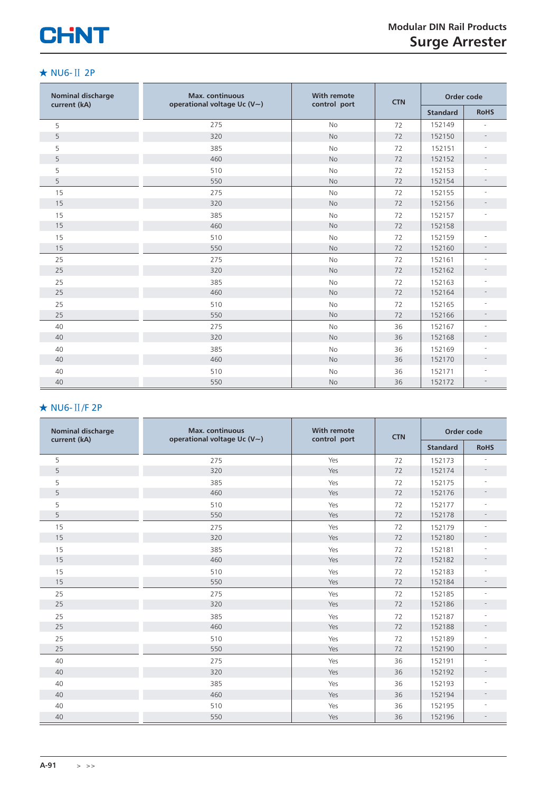# **CHNT**

#### ★ NU6-Ⅱ 2P

| <b>Nominal discharge</b><br>current (kA) | <b>Max.</b> continuous<br>operational voltage Uc $(V \sim)$ | <b>With remote</b><br>control port | <b>CTN</b> | Order code      |                          |
|------------------------------------------|-------------------------------------------------------------|------------------------------------|------------|-----------------|--------------------------|
|                                          |                                                             |                                    |            | <b>Standard</b> | <b>RoHS</b>              |
| 5                                        | 275                                                         | <b>No</b>                          | 72         | 152149          | ÷.                       |
| 5                                        | 320                                                         | <b>No</b>                          | 72         | 152150          | $\overline{\phantom{a}}$ |
| 5                                        | 385                                                         | <b>No</b>                          | 72         | 152151          |                          |
| 5                                        | 460                                                         | No                                 | 72         | 152152          | $\overline{\phantom{a}}$ |
| 5                                        | 510                                                         | <b>No</b>                          | 72         | 152153          | $\sim$                   |
| 5                                        | 550                                                         | No                                 | 72         | 152154          | $\overline{\phantom{a}}$ |
| 15                                       | 275                                                         | <b>No</b>                          | 72         | 152155          | $\sim$                   |
| 15                                       | 320                                                         | <b>No</b>                          | 72         | 152156          | $\overline{\phantom{a}}$ |
| 15                                       | 385                                                         | <b>No</b>                          | 72         | 152157          | $\overline{\phantom{a}}$ |
| 15                                       | 460                                                         | <b>No</b>                          | 72         | 152158          |                          |
| 15                                       | 510                                                         | <b>No</b>                          | 72         | 152159          |                          |
| 15                                       | 550                                                         | <b>No</b>                          | 72         | 152160          | $\overline{\phantom{a}}$ |
| 25                                       | 275                                                         | <b>No</b>                          | 72         | 152161          | $\sim$                   |
| 25                                       | 320                                                         | <b>No</b>                          | 72         | 152162          |                          |
| 25                                       | 385                                                         | <b>No</b>                          | 72         | 152163          |                          |
| 25                                       | 460                                                         | <b>No</b>                          | 72         | 152164          | $\overline{\phantom{a}}$ |
| 25                                       | 510                                                         | No                                 | 72         | 152165          | $\overline{\phantom{a}}$ |
| 25                                       | 550                                                         | No                                 | 72         | 152166          |                          |
| 40                                       | 275                                                         | <b>No</b>                          | 36         | 152167          | $\overline{\phantom{a}}$ |
| 40                                       | 320                                                         | <b>No</b>                          | 36         | 152168          | $\overline{\phantom{a}}$ |
| 40                                       | 385                                                         | <b>No</b>                          | 36         | 152169          |                          |
| 40                                       | 460                                                         | No                                 | 36         | 152170          | $\overline{\phantom{a}}$ |
| 40                                       | 510                                                         | <b>No</b>                          | 36         | 152171          |                          |
| 40                                       | 550                                                         | No                                 | 36         | 152172          | $\overline{\phantom{a}}$ |

## ★ NU6-Ⅱ/F 2P

| <b>Nominal discharge</b><br>current (kA) | <b>Max.</b> continuous | <b>With remote</b><br><b>CTN</b><br>operational voltage Uc (V~)<br>control port |    |                 | Order code               |
|------------------------------------------|------------------------|---------------------------------------------------------------------------------|----|-----------------|--------------------------|
|                                          |                        |                                                                                 |    | <b>Standard</b> | <b>RoHS</b>              |
| 5                                        | 275                    | Yes                                                                             | 72 | 152173          |                          |
| 5                                        | 320                    | Yes                                                                             | 72 | 152174          | $\overline{\phantom{a}}$ |
| 5                                        | 385                    | Yes                                                                             | 72 | 152175          | $\overline{\phantom{a}}$ |
| 5                                        | 460                    | Yes                                                                             | 72 | 152176          |                          |
| 5                                        | 510                    | Yes                                                                             | 72 | 152177          |                          |
| 5                                        | 550                    | Yes                                                                             | 72 | 152178          | $\overline{\phantom{a}}$ |
| 15                                       | 275                    | Yes                                                                             | 72 | 152179          | $\sim$                   |
| 15                                       | 320                    | Yes                                                                             | 72 | 152180          |                          |
| 15                                       | 385                    | Yes                                                                             | 72 | 152181          |                          |
| 15                                       | 460                    | Yes                                                                             | 72 | 152182          | $\overline{\phantom{a}}$ |
| 15                                       | 510                    | Yes                                                                             | 72 | 152183          | $\sim$                   |
| 15                                       | 550                    | Yes                                                                             | 72 | 152184          | $\overline{\phantom{a}}$ |
| 25                                       | 275                    | Yes                                                                             | 72 | 152185          | ٠                        |
| 25                                       | 320                    | Yes                                                                             | 72 | 152186          | $\overline{\phantom{a}}$ |
| 25                                       | 385                    | Yes                                                                             | 72 | 152187          |                          |
| 25                                       | 460                    | Yes                                                                             | 72 | 152188          | $\overline{\phantom{a}}$ |
| 25                                       | 510                    | Yes                                                                             | 72 | 152189          |                          |
| 25                                       | 550                    | Yes                                                                             | 72 | 152190          | $\overline{\phantom{a}}$ |
| 40                                       | 275                    | Yes                                                                             | 36 | 152191          | $\overline{\phantom{a}}$ |
| 40                                       | 320                    | Yes                                                                             | 36 | 152192          | $\overline{\phantom{a}}$ |
| 40                                       | 385                    | Yes                                                                             | 36 | 152193          |                          |
| 40                                       | 460                    | Yes                                                                             | 36 | 152194          | $\overline{\phantom{a}}$ |
| 40                                       | 510                    | Yes                                                                             | 36 | 152195          | $\sim$                   |
| 40                                       | 550                    | Yes                                                                             | 36 | 152196          |                          |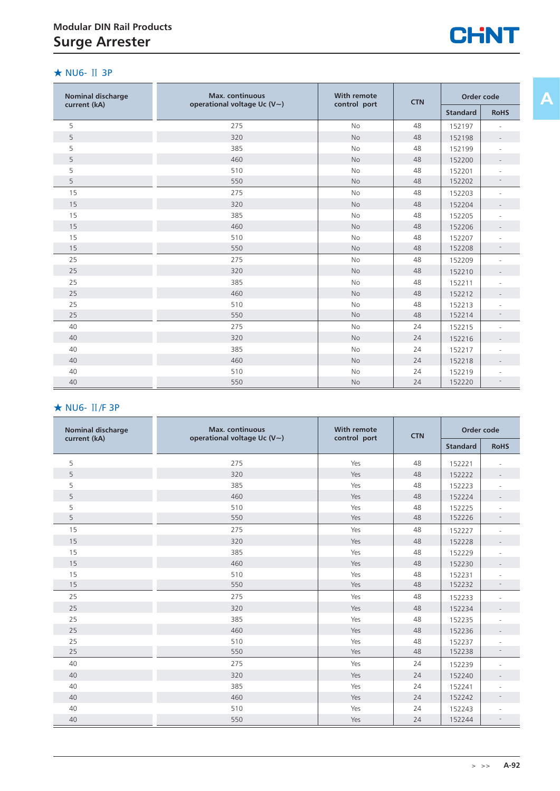

#### ★ NU6- Ⅱ 3P

| <b>Nominal discharge</b> | <b>Max.</b> continuous            | <b>With remote</b> | <b>CTN</b> | Order code      |             |
|--------------------------|-----------------------------------|--------------------|------------|-----------------|-------------|
| current (kA)             | operational voltage Uc $(V \sim)$ | control port       |            | <b>Standard</b> | <b>RoHS</b> |
| 5                        | 275                               | <b>No</b>          | 48         | 152197          |             |
| 5                        | 320                               | <b>No</b>          | 48         | 152198          |             |
| 5                        | 385                               | <b>No</b>          | 48         | 152199          |             |
| 5                        | 460                               | <b>No</b>          | 48         | 152200          |             |
| 5                        | 510                               | <b>No</b>          | 48         | 152201          |             |
| 5                        | 550                               | <b>No</b>          | 48         | 152202          |             |
| 15                       | 275                               | <b>No</b>          | 48         | 152203          |             |
| 15                       | 320                               | <b>No</b>          | 48         | 152204          |             |
| 15                       | 385                               | No                 | 48         | 152205          |             |
| 15                       | 460                               | <b>No</b>          | 48         | 152206          |             |
| 15                       | 510                               | <b>No</b>          | 48         | 152207          |             |
| 15                       | 550                               | <b>No</b>          | 48         | 152208          |             |
| 25                       | 275                               | No                 | 48         | 152209          |             |
| 25                       | 320                               | <b>No</b>          | 48         | 152210          |             |
| 25                       | 385                               | No                 | 48         | 152211          |             |
| 25                       | 460                               | <b>No</b>          | 48         | 152212          |             |
| 25                       | 510                               | No                 | 48         | 152213          |             |
| 25                       | 550                               | <b>No</b>          | 48         | 152214          |             |
| 40                       | 275                               | <b>No</b>          | 24         | 152215          |             |
| 40                       | 320                               | <b>No</b>          | 24         | 152216          |             |
| 40                       | 385                               | No                 | 24         | 152217          |             |
| 40                       | 460                               | <b>No</b>          | 24         | 152218          |             |
| 40                       | 510                               | <b>No</b>          | 24         | 152219          |             |
| 40                       | 550                               | No                 | 24         | 152220          |             |

## ★ NU6- Ⅱ/F 3P

| <b>Nominal discharge</b><br>current (kA) | <b>Max.</b> continuous<br>operational voltage Uc $(V \sim)$ | <b>With remote</b><br>control port |    | Order code<br><b>CTN</b> |                          |
|------------------------------------------|-------------------------------------------------------------|------------------------------------|----|--------------------------|--------------------------|
|                                          |                                                             |                                    |    | <b>Standard</b>          | <b>RoHS</b>              |
| 5                                        | 275                                                         | Yes                                | 48 | 152221                   |                          |
| 5                                        | 320                                                         | Yes                                | 48 | 152222                   |                          |
| 5                                        | 385                                                         | Yes                                | 48 | 152223                   |                          |
| 5                                        | 460                                                         | Yes                                | 48 | 152224                   |                          |
| 5                                        | 510                                                         | Yes                                | 48 | 152225                   |                          |
| 5                                        | 550                                                         | Yes                                | 48 | 152226                   | $\overline{\phantom{a}}$ |
| 15                                       | 275                                                         | Yes                                | 48 | 152227                   |                          |
| 15                                       | 320                                                         | Yes                                | 48 | 152228                   |                          |
| 15                                       | 385                                                         | Yes                                | 48 | 152229                   |                          |
| 15                                       | 460                                                         | Yes                                | 48 | 152230                   |                          |
| 15                                       | 510                                                         | Yes                                | 48 | 152231                   |                          |
| 15                                       | 550                                                         | Yes                                | 48 | 152232                   | $\overline{\phantom{a}}$ |
| 25                                       | 275                                                         | Yes                                | 48 | 152233                   |                          |
| 25                                       | 320                                                         | Yes                                | 48 | 152234                   |                          |
| 25                                       | 385                                                         | Yes                                | 48 | 152235                   |                          |
| 25                                       | 460                                                         | Yes                                | 48 | 152236                   |                          |
| 25                                       | 510                                                         | Yes                                | 48 | 152237                   |                          |
| 25                                       | 550                                                         | Yes                                | 48 | 152238                   | $\equiv$                 |
| 40                                       | 275                                                         | Yes                                | 24 | 152239                   | L,                       |
| 40                                       | 320                                                         | Yes                                | 24 | 152240                   |                          |
| 40                                       | 385                                                         | Yes                                | 24 | 152241                   |                          |
| 40                                       | 460                                                         | Yes                                | 24 | 152242                   |                          |
| 40                                       | 510                                                         | Yes                                | 24 | 152243                   | $\overline{a}$           |
| 40                                       | 550                                                         | Yes                                | 24 | 152244                   |                          |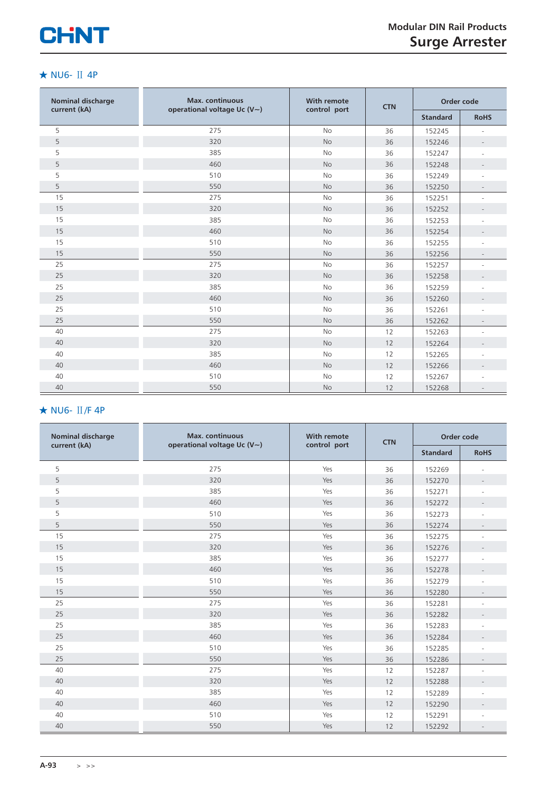

#### ★ NU6- Ⅱ 4P

| <b>Nominal discharge</b> | <b>Max.</b> continuous            | <b>With remote</b> | <b>CTN</b> | Order code      |                          |  |
|--------------------------|-----------------------------------|--------------------|------------|-----------------|--------------------------|--|
| current (kA)             | operational voltage Uc $(V \sim)$ | control port       |            | <b>Standard</b> | <b>RoHS</b>              |  |
| 5                        | 275                               | <b>No</b>          | 36         | 152245          | $\overline{\phantom{a}}$ |  |
| 5                        | 320                               | <b>No</b>          | 36         | 152246          | $\overline{\phantom{a}}$ |  |
| 5                        | 385                               | <b>No</b>          | 36         | 152247          |                          |  |
| 5                        | 460                               | <b>No</b>          | 36         | 152248          |                          |  |
| 5                        | 510                               | No                 | 36         | 152249          |                          |  |
| 5                        | 550                               | <b>No</b>          | 36         | 152250          | $\overline{\phantom{a}}$ |  |
| 15                       | 275                               | <b>No</b>          | 36         | 152251          |                          |  |
| 15                       | 320                               | No                 | 36         | 152252          |                          |  |
| 15                       | 385                               | No                 | 36         | 152253          |                          |  |
| 15                       | 460                               | No                 | 36         | 152254          |                          |  |
| 15                       | 510                               | <b>No</b>          | 36         | 152255          |                          |  |
| 15                       | 550                               | No                 | 36         | 152256          |                          |  |
| 25                       | 275                               | No                 | 36         | 152257          |                          |  |
| 25                       | 320                               | No                 | 36         | 152258          |                          |  |
| 25                       | 385                               | <b>No</b>          | 36         | 152259          |                          |  |
| 25                       | 460                               | No                 | 36         | 152260          |                          |  |
| 25                       | 510                               | No                 | 36         | 152261          | ٠                        |  |
| 25                       | 550                               | <b>No</b>          | 36         | 152262          |                          |  |
| 40                       | 275                               | <b>No</b>          | 12         | 152263          |                          |  |
| 40                       | 320                               | <b>No</b>          | 12         | 152264          |                          |  |
| 40                       | 385                               | No                 | 12         | 152265          |                          |  |
| 40                       | 460                               | No                 | 12         | 152266          |                          |  |
| 40                       | 510                               | No                 | 12         | 152267          |                          |  |
| 40                       | 550                               | No                 | 12         | 152268          |                          |  |

## ★ NU6- Ⅱ/F 4P

| <b>Nominal discharge</b> | <b>Max.</b> continuous<br>operational voltage Uc $(V \sim)$ | <b>With remote</b><br>control port | <b>CTN</b> | Order code      |                          |  |
|--------------------------|-------------------------------------------------------------|------------------------------------|------------|-----------------|--------------------------|--|
| current (kA)             |                                                             |                                    |            | <b>Standard</b> | <b>RoHS</b>              |  |
| 5                        | 275                                                         | Yes                                | 36         | 152269          |                          |  |
| 5                        | 320                                                         | Yes                                | 36         | 152270          |                          |  |
| 5                        | 385                                                         | Yes                                | 36         | 152271          |                          |  |
| 5                        | 460                                                         | Yes                                | 36         | 152272          |                          |  |
| 5                        | 510                                                         | Yes                                | 36         | 152273          |                          |  |
| 5                        | 550                                                         | Yes                                | 36         | 152274          |                          |  |
| 15                       | 275                                                         | Yes                                | 36         | 152275          |                          |  |
| 15                       | 320                                                         | Yes                                | 36         | 152276          |                          |  |
| 15                       | 385                                                         | Yes                                | 36         | 152277          |                          |  |
| 15                       | 460                                                         | Yes                                | 36         | 152278          |                          |  |
| 15                       | 510                                                         | Yes                                | 36         | 152279          |                          |  |
| 15                       | 550                                                         | Yes                                | 36         | 152280          |                          |  |
| 25                       | 275                                                         | Yes                                | 36         | 152281          |                          |  |
| 25                       | 320                                                         | Yes                                | 36         | 152282          |                          |  |
| 25                       | 385                                                         | Yes                                | 36         | 152283          |                          |  |
| 25                       | 460                                                         | Yes                                | 36         | 152284          |                          |  |
| 25                       | 510                                                         | Yes                                | 36         | 152285          |                          |  |
| 25                       | 550                                                         | Yes                                | 36         | 152286          | $\overline{\phantom{a}}$ |  |
| 40                       | 275                                                         | Yes                                | 12         | 152287          |                          |  |
| 40                       | 320                                                         | Yes                                | 12         | 152288          |                          |  |
| 40                       | 385                                                         | Yes                                | 12         | 152289          |                          |  |
| 40                       | 460                                                         | Yes                                | 12         | 152290          | $\overline{\phantom{a}}$ |  |
| 40                       | 510                                                         | Yes                                | 12         | 152291          |                          |  |
| 40                       | 550                                                         | Yes                                | 12         | 152292          |                          |  |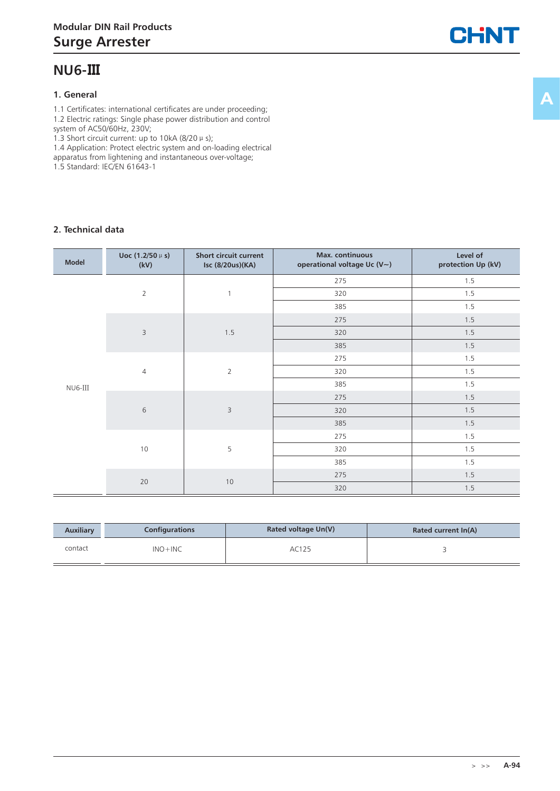## **NU6-Ⅲ**

#### **1. General**

1.1 Certificates: international certificates are under proceeding; 1.2 Electric ratings: Single phase power distribution and control

system of AC50/60Hz, 230V; 1.3 Short circuit current: up to 10kA (8/20  $\mu$  s);

1.4 Application: Protect electric system and on-loading electrical

apparatus from lightening and instantaneous over-voltage;

1.5 Standard: IEC/EN 61643-1

#### **2. Technical data**

| <b>Model</b> | Uoc $(1.2/50 \,\mu s)$<br>(kV)                                                                                                                                                                       | Short circuit current<br>Isc (8/20us)(KA) | Max. continuous<br>operational voltage Uc (V~) | Level of<br>protection Up (kV) |
|--------------|------------------------------------------------------------------------------------------------------------------------------------------------------------------------------------------------------|-------------------------------------------|------------------------------------------------|--------------------------------|
|              |                                                                                                                                                                                                      |                                           | 275                                            | 1.5                            |
|              | $\overline{2}$                                                                                                                                                                                       | $\mathbf{1}$                              | 320                                            | 1.5                            |
|              | 385<br>275<br>$\mathsf 3$<br>320<br>1.5<br>385<br>275<br>$\overline{2}$<br>320<br>$\overline{4}$<br>385<br>275<br>$\sqrt{6}$<br>3<br>320<br>385<br>275<br>5<br>10<br>320<br>385<br>275<br>20<br>$10$ |                                           | 1.5                                            |                                |
|              |                                                                                                                                                                                                      |                                           |                                                | 1.5                            |
|              |                                                                                                                                                                                                      |                                           |                                                | 1.5                            |
|              |                                                                                                                                                                                                      |                                           |                                                | 1.5                            |
|              |                                                                                                                                                                                                      |                                           |                                                | 1.5                            |
|              |                                                                                                                                                                                                      |                                           |                                                | 1.5                            |
| NU6-III      |                                                                                                                                                                                                      |                                           |                                                | 1.5                            |
|              |                                                                                                                                                                                                      |                                           |                                                | 1.5                            |
|              |                                                                                                                                                                                                      |                                           |                                                | 1.5                            |
|              |                                                                                                                                                                                                      |                                           |                                                | 1.5                            |
|              |                                                                                                                                                                                                      |                                           |                                                | 1.5                            |
|              |                                                                                                                                                                                                      |                                           |                                                | 1.5                            |
|              |                                                                                                                                                                                                      |                                           |                                                | 1.5                            |
|              |                                                                                                                                                                                                      |                                           |                                                | 1.5                            |
|              |                                                                                                                                                                                                      |                                           | 320                                            | 1.5                            |

| <b>Auxiliary</b> | Configurations | Rated voltage Un(V) | Rated current In(A) |
|------------------|----------------|---------------------|---------------------|
| contact          | $INO + INC$    | AC125               |                     |

CHNT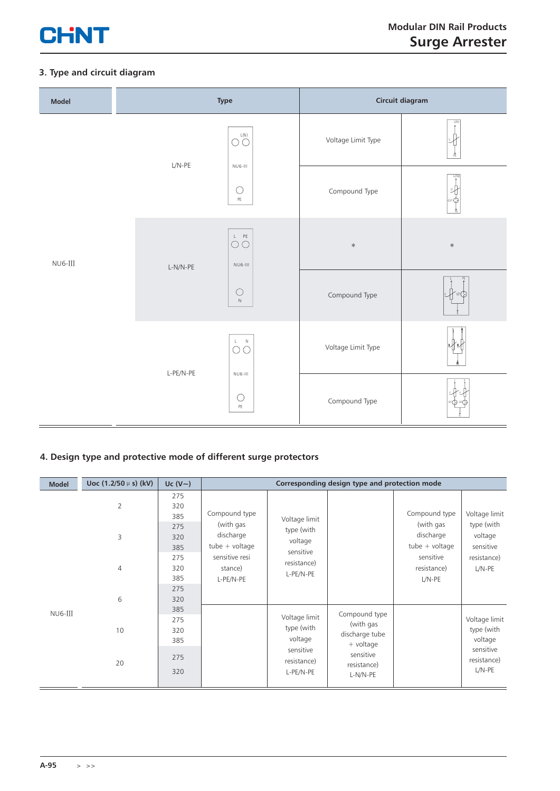

#### **3. Type and circuit diagram**

| Model         | Type                                                    |                                               | Circuit diagram    |           |  |
|---------------|---------------------------------------------------------|-----------------------------------------------|--------------------|-----------|--|
|               | $L/N-PE$                                                | $\mathsf{L}(\mathsf{N})$<br>OÓ<br>$NUB-III$   | Voltage Limit Type | L(N)      |  |
|               |                                                         | $\bigcirc$<br>$\mathsf{PE}$                   | Compound Type      | L(N)<br>叱 |  |
| $NU6$ - $III$ | $L-N/N-PE$                                              | $\bigcirc^L\bigcirc^{\text{PE}}$<br>$NUB-III$ | $\ast$             | $\ast$    |  |
|               |                                                         | $\bigcirc$<br>$\hbox{N}$                      | Compound Type      |           |  |
|               |                                                         | $\mathsf{L}=\mathsf{N}$<br>$\circ$            | Voltage Limit Type |           |  |
|               | $L-PE/N-PE$<br>$NUB-III$<br>$\bigcirc$<br>$\mathsf{PE}$ |                                               | Compound Type      |           |  |

## **4. Design type and protective mode of different surge protectors**

| <b>Model</b> | Uoc $(1.2/50 \,\mu s)$ (kV) | Uc $(V \sim)$     |                                                                                                                                                        |                                        | Corresponding design type and protection mode               |               |                                        |  |  |  |  |  |                                            |                                    |
|--------------|-----------------------------|-------------------|--------------------------------------------------------------------------------------------------------------------------------------------------------|----------------------------------------|-------------------------------------------------------------|---------------|----------------------------------------|--|--|--|--|--|--------------------------------------------|------------------------------------|
|              | $\overline{2}$              | 275<br>320<br>385 | Compound type                                                                                                                                          | Voltage limit                          |                                                             | Compound type | Voltage limit                          |  |  |  |  |  |                                            |                                    |
|              | 3                           | 275<br>320<br>385 | (with gas<br>type (with<br>discharge<br>voltage<br>$tube + voltage$<br>sensitive<br>sensitive resi<br>resistance)<br>stance)<br>L-PE/N-PE<br>L-PE/N-PE |                                        |                                                             |               |                                        |  |  |  |  |  | (with gas<br>discharge<br>$tube + voltage$ | type (with<br>voltage<br>sensitive |
|              | $\overline{4}$              | 275<br>320<br>385 |                                                                                                                                                        | sensitive<br>resistance)<br>$L/N-PE$   | resistance)<br>L/N-PE                                       |               |                                        |  |  |  |  |  |                                            |                                    |
|              | 6                           | 275<br>320<br>385 |                                                                                                                                                        |                                        |                                                             |               |                                        |  |  |  |  |  |                                            |                                    |
| NU6-III      | 10                          | 275<br>320<br>385 |                                                                                                                                                        | Voltage limit<br>type (with<br>voltage | Compound type<br>(with gas<br>discharge tube<br>$+$ voltage |               | Voltage limit<br>type (with<br>voltage |  |  |  |  |  |                                            |                                    |
|              | 20                          | 275<br>320        |                                                                                                                                                        | sensitive<br>resistance)<br>L-PE/N-PE  | sensitive<br>resistance)<br>L-N/N-PE                        |               | sensitive<br>resistance)<br>$L/N-PE$   |  |  |  |  |  |                                            |                                    |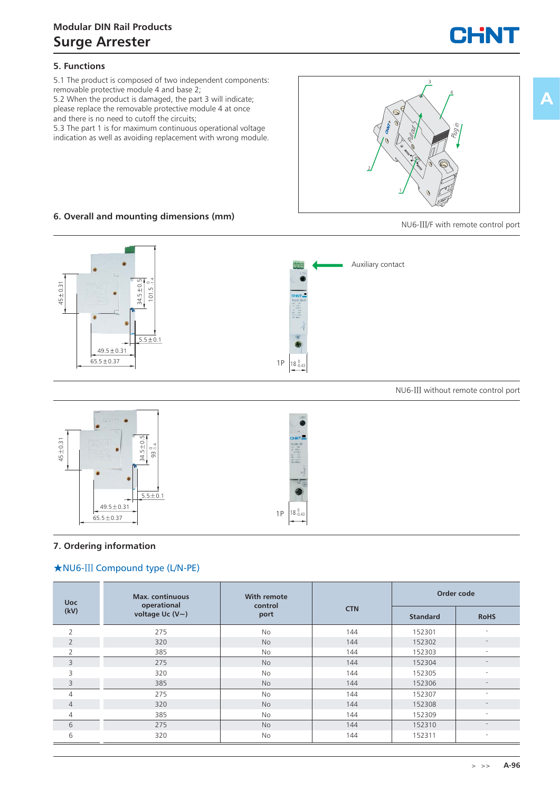

#### **5. Functions**

5.1 The product is composed of two independent components: removable protective module 4 and base 2;

5.2 When the product is damaged, the part 3 will indicate; please replace the removable protective module 4 at once and there is no need to cutoff the circuits;

5.3 The part 1 is for maximum continuous operational voltage indication as well as avoiding replacement with wrong module.



#### **6. Overall and mounting dimensions (mm)**

NU6-Ⅲ/F with remote control port



NU6-Ⅲ without remote control port



#### **7. Ordering information**

#### ★NU6-Ⅲ Compound type (L/N-PE)

| <b>Uoc</b>     | <b>Max.</b> continuous<br>operational | With remote<br>control |            | Order code      |                          |
|----------------|---------------------------------------|------------------------|------------|-----------------|--------------------------|
| (kV)           | voltage Uc $(V \sim)$                 | port                   | <b>CTN</b> | <b>Standard</b> | <b>RoHS</b>              |
| $\overline{2}$ | 275                                   | <b>No</b>              | 144        | 152301          | н.                       |
| 2              | 320                                   | <b>No</b>              | 144        | 152302          | $\overline{\phantom{a}}$ |
| 2              | 385                                   | <b>No</b>              | 144        | 152303          | $\overline{\phantom{a}}$ |
| 3              | 275                                   | <b>No</b>              | 144        | 152304          | $\overline{\phantom{a}}$ |
| 3              | 320                                   | <b>No</b>              | 144        | 152305          | $\sim$                   |
| 3              | 385                                   | <b>No</b>              | 144        | 152306          | $\overline{\phantom{a}}$ |
| $\overline{4}$ | 275                                   | No                     | 144        | 152307          | $\sim$                   |
| $\overline{4}$ | 320                                   | <b>No</b>              | 144        | 152308          | $\overline{\phantom{a}}$ |
| 4              | 385                                   | <b>No</b>              | 144        | 152309          | $\sim$                   |
| 6              | 275                                   | <b>No</b>              | 144        | 152310          | $\overline{\phantom{a}}$ |
| 6              | 320                                   | No                     | 144        | 152311          | $\overline{\phantom{a}}$ |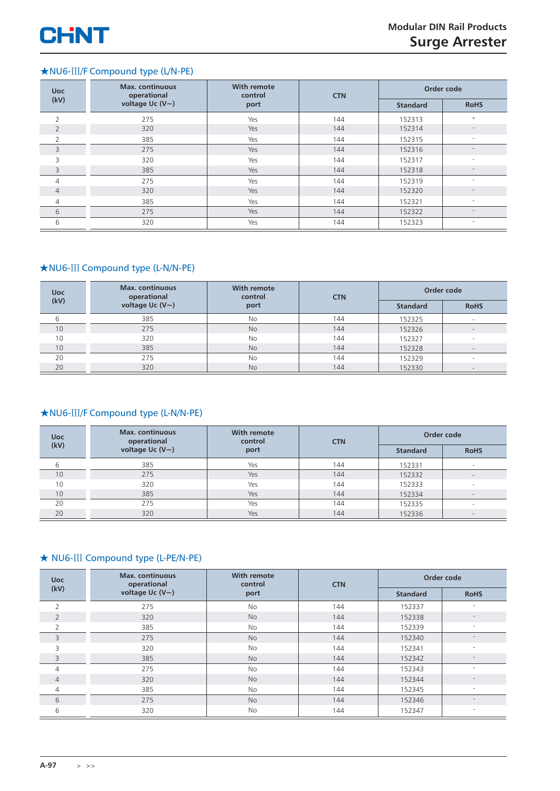

## ★NU6-Ⅲ/F Compound type (L/N-PE)

| <b>Uoc</b>     | <b>Max.</b> continuous<br>operational | <b>With remote</b><br>control | <b>CTN</b> | Order code      |                          |
|----------------|---------------------------------------|-------------------------------|------------|-----------------|--------------------------|
| (kV)           | voltage Uc $(V \sim)$                 | port                          |            | <b>Standard</b> | <b>RoHS</b>              |
| $\overline{2}$ | 275                                   | Yes                           | 144        | 152313          | $\equiv$                 |
| $\overline{2}$ | 320                                   | Yes                           | 144        | 152314          | $\overline{\phantom{a}}$ |
| 2              | 385                                   | Yes                           | 144        | 152315          | $\overline{\phantom{a}}$ |
| 3              | 275                                   | Yes                           | 144        | 152316          | -                        |
| 3              | 320                                   | Yes                           | 144        | 152317          | $\overline{\phantom{m}}$ |
| 3              | 385                                   | Yes                           | 144        | 152318          | $\overline{\phantom{0}}$ |
| $\overline{4}$ | 275                                   | Yes                           | 144        | 152319          | $\overline{a}$           |
| $\overline{4}$ | 320                                   | Yes                           | 144        | 152320          | $\overline{\phantom{a}}$ |
| 4              | 385                                   | Yes                           | 144        | 152321          | $\overline{\phantom{a}}$ |
| 6              | 275                                   | Yes                           | 144        | 152322          | ٠                        |
| 6              | 320                                   | Yes                           | 144        | 152323          | $\overline{\phantom{0}}$ |

#### ★NU6-Ⅲ Compound type (L-N/N-PE)

| <b>Uoc</b> | <b>Max.</b> continuous<br>operational | With remote<br>control | <b>CTN</b> |                 | Order code               |
|------------|---------------------------------------|------------------------|------------|-----------------|--------------------------|
| (kV)       | voltage Uc $(V \sim)$                 | port                   |            | <b>Standard</b> | <b>RoHS</b>              |
|            | 385                                   | No                     | 144        | 152325          |                          |
| 10         | 275                                   | <b>No</b>              | 144        | 152326          | $\overline{\phantom{a}}$ |
| 10         | 320                                   | No                     | 144        | 152327          | $\overline{\phantom{0}}$ |
| 10         | 385                                   | <b>No</b>              | 144        | 152328          | $\sim$                   |
| 20         | 275                                   | No                     | 144        | 152329          | $\overline{\phantom{a}}$ |
| 20         | 320                                   | <b>No</b>              | 144        | 152330          | $-$                      |

#### ★NU6-Ⅲ/F Compound type (L-N/N-PE)

| <b>Uoc</b><br>(kV) | <b>Max.</b> continuous<br>operational | With remote<br>control | <b>CTN</b> |                 | Order code               |
|--------------------|---------------------------------------|------------------------|------------|-----------------|--------------------------|
|                    | voltage Uc $(V \sim)$                 | port                   |            | <b>Standard</b> | <b>RoHS</b>              |
| 6                  | 385                                   | Yes                    | 144        | 152331          | $\overline{\phantom{0}}$ |
| 10                 | 275                                   | Yes                    | 144        | 152332          | $\overline{\phantom{0}}$ |
| 10                 | 320                                   | Yes                    | 144        | 152333          | -                        |
| 10                 | 385                                   | Yes                    | 144        | 152334          | $\overline{\phantom{a}}$ |
| 20                 | 275                                   | Yes                    | 144        | 152335          | $\overline{\phantom{a}}$ |
| 20                 | 320                                   | Yes                    | 144        | 152336          | $\overline{\phantom{0}}$ |

#### ★ NU6-Ⅲ Compound type (L-PE/N-PE)

| <b>Uoc</b>     | <b>Max.</b> continuous<br>operational | <b>With remote</b><br>control | <b>CTN</b> | Order code      |                          |
|----------------|---------------------------------------|-------------------------------|------------|-----------------|--------------------------|
| (kV)           | voltage Uc $(V \sim)$                 | port                          |            | <b>Standard</b> | <b>RoHS</b>              |
| $\overline{2}$ | 275                                   | <b>No</b>                     | 144        | 152337          |                          |
| $\overline{2}$ | 320                                   | <b>No</b>                     | 144        | 152338          |                          |
| 2              | 385                                   | <b>No</b>                     | 144        | 152339          | $\overline{\phantom{a}}$ |
| 3              | 275                                   | <b>No</b>                     | 144        | 152340          | $\overline{\phantom{a}}$ |
| 3              | 320                                   | <b>No</b>                     | 144        | 152341          | $\overline{\phantom{a}}$ |
| 3              | 385                                   | <b>No</b>                     | 144        | 152342          | $\overline{\phantom{a}}$ |
| 4              | 275                                   | <b>No</b>                     | 144        | 152343          | ٠                        |
| $\overline{4}$ | 320                                   | <b>No</b>                     | 144        | 152344          | $\overline{\phantom{a}}$ |
| 4              | 385                                   | No                            | 144        | 152345          | $\overline{\phantom{a}}$ |
| 6              | 275                                   | <b>No</b>                     | 144        | 152346          | $\overline{\phantom{a}}$ |
| 6              | 320                                   | <b>No</b>                     | 144        | 152347          | $\overline{\phantom{a}}$ |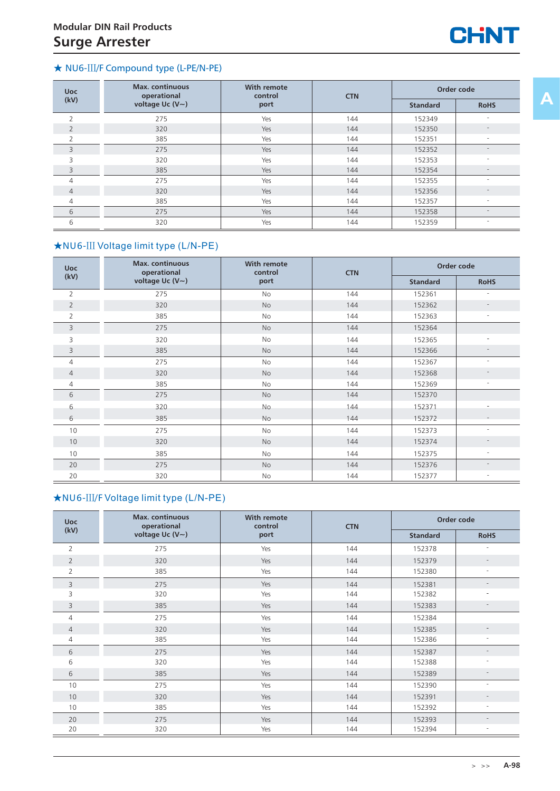

### ★ NU6-Ⅲ/F Compound type (L-PE/N-PE)

| <b>Uoc</b>     | <b>Max.</b> continuous<br><b>With remote</b><br>operational<br>control |      | <b>CTN</b> | Order code      |                          |
|----------------|------------------------------------------------------------------------|------|------------|-----------------|--------------------------|
| (kV)           | voltage Uc (V~)                                                        | port |            | <b>Standard</b> | <b>RoHS</b>              |
| $\overline{2}$ | 275                                                                    | Yes  | 144        | 152349          |                          |
| $\overline{2}$ | 320                                                                    | Yes  | 144        | 152350          | $\qquad \qquad =$        |
| $\overline{2}$ | 385                                                                    | Yes  | 144        | 152351          | $\sim$                   |
| 3              | 275                                                                    | Yes  | 144        | 152352          |                          |
| 3              | 320                                                                    | Yes  | 144        | 152353          |                          |
| 3              | 385                                                                    | Yes  | 144        | 152354          | $\overline{\phantom{a}}$ |
| $\overline{4}$ | 275                                                                    | Yes  | 144        | 152355          | $\overline{\phantom{0}}$ |
| $\overline{4}$ | 320                                                                    | Yes  | 144        | 152356          |                          |
| $\overline{4}$ | 385                                                                    | Yes  | 144        | 152357          | $\overline{\phantom{a}}$ |
| 6              | 275                                                                    | Yes  | 144        | 152358          |                          |
| 6              | 320                                                                    | Yes  | 144        | 152359          | $\overline{\phantom{m}}$ |

## ★NU6-Ⅲ Voltage limit type (L/N-PE)

| <b>Uoc</b>     | <b>Max.</b> continuous<br>operational | With remote<br>control | <b>CTN</b> | Order code      |                          |
|----------------|---------------------------------------|------------------------|------------|-----------------|--------------------------|
| (kV)           | voltage Uc (V~)                       | port                   |            | <b>Standard</b> | <b>RoHS</b>              |
| $\overline{2}$ | 275                                   | No                     | 144        | 152361          |                          |
| $\overline{2}$ | 320                                   | No                     | 144        | 152362          |                          |
| 2              | 385                                   | No                     | 144        | 152363          | $\overline{\phantom{a}}$ |
| 3              | 275                                   | No                     | 144        | 152364          |                          |
| 3              | 320                                   | No                     | 144        | 152365          | $\sim$                   |
| 3              | 385                                   | No                     | 144        | 152366          |                          |
| 4              | 275                                   | No                     | 144        | 152367          | $\overline{\phantom{a}}$ |
| $\overline{4}$ | 320                                   | <b>No</b>              | 144        | 152368          |                          |
| 4              | 385                                   | No                     | 144        | 152369          | $\overline{\phantom{a}}$ |
| 6              | 275                                   | No                     | 144        | 152370          |                          |
| 6              | 320                                   | No.                    | 144        | 152371          | $\overline{\phantom{a}}$ |
| 6              | 385                                   | No                     | 144        | 152372          |                          |
| 10             | 275                                   | No                     | 144        | 152373          | ٠                        |
| 10             | 320                                   | No                     | 144        | 152374          |                          |
| 10             | 385                                   | No                     | 144        | 152375          | $\overline{\phantom{a}}$ |
| 20             | 275                                   | No                     | 144        | 152376          | $\overline{\phantom{a}}$ |
| 20             | 320                                   | No                     | 144        | 152377          | $\overline{\phantom{a}}$ |

### ★NU6-Ⅲ/F Voltage limit type (L/N-PE)

| <b>Uoc</b>     | <b>Max.</b> continuous<br><b>With remote</b><br>operational<br>control<br><b>CTN</b> |      |     | Order code      |                          |
|----------------|--------------------------------------------------------------------------------------|------|-----|-----------------|--------------------------|
| (kV)           | voltage Uc $(V \sim)$                                                                | port |     | <b>Standard</b> | <b>RoHS</b>              |
| $\overline{2}$ | 275                                                                                  | Yes  | 144 | 152378          | $\overline{\phantom{a}}$ |
| $\overline{2}$ | 320                                                                                  | Yes  | 144 | 152379          |                          |
| $\overline{2}$ | 385                                                                                  | Yes  | 144 | 152380          | $\overline{\phantom{a}}$ |
| 3              | 275                                                                                  | Yes  | 144 | 152381          | $\overline{\phantom{a}}$ |
| 3              | 320                                                                                  | Yes  | 144 | 152382          | ٠                        |
| 3              | 385                                                                                  | Yes  | 144 | 152383          | $\overline{\phantom{0}}$ |
| 4              | 275                                                                                  | Yes  | 144 | 152384          |                          |
| $\overline{4}$ | 320                                                                                  | Yes  | 144 | 152385          | $\qquad \qquad -$        |
| 4              | 385                                                                                  | Yes  | 144 | 152386          | $\overline{\phantom{a}}$ |
| 6              | 275                                                                                  | Yes  | 144 | 152387          | $\overline{\phantom{a}}$ |
| 6              | 320                                                                                  | Yes  | 144 | 152388          | ٠                        |
| 6              | 385                                                                                  | Yes  | 144 | 152389          |                          |
| 10             | 275                                                                                  | Yes  | 144 | 152390          | ۰                        |
| 10             | 320                                                                                  | Yes  | 144 | 152391          | $\overline{\phantom{0}}$ |
| 10             | 385                                                                                  | Yes  | 144 | 152392          | $\overline{\phantom{a}}$ |
| 20             | 275                                                                                  | Yes  | 144 | 152393          | $\overline{\phantom{a}}$ |
| 20             | 320                                                                                  | Yes  | 144 | 152394          | $\overline{\phantom{a}}$ |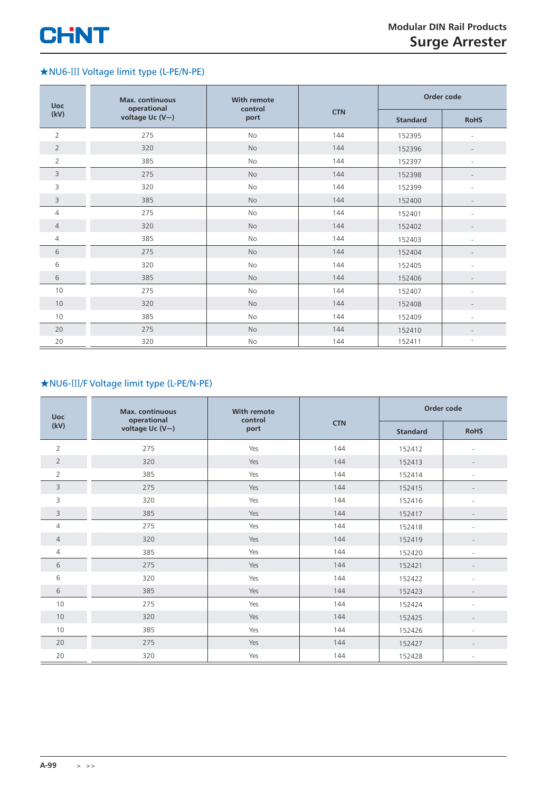## ★NU6-Ⅲ Voltage limit type (L-PE/N-PE)

| <b>Uoc</b>     | <b>Max.</b> continuous<br>operational<br>voltage Uc (V~) | <b>With remote</b><br>control<br>port | <b>CTN</b> | Order code      |                          |
|----------------|----------------------------------------------------------|---------------------------------------|------------|-----------------|--------------------------|
| (kV)           |                                                          |                                       |            | <b>Standard</b> | <b>RoHS</b>              |
| $\overline{2}$ | 275                                                      | No                                    | 144        | 152395          |                          |
| $\overline{2}$ | 320                                                      | <b>No</b>                             | 144        | 152396          | $\overline{\phantom{a}}$ |
| $\overline{2}$ | 385                                                      | No                                    | 144        | 152397          | $\overline{a}$           |
| 3              | 275                                                      | No                                    | 144        | 152398          |                          |
| 3              | 320                                                      | No                                    | 144        | 152399          | $\overline{\phantom{a}}$ |
| 3              | 385                                                      | No                                    | 144        | 152400          |                          |
| 4              | 275                                                      | No                                    | 144        | 152401          |                          |
| $\overline{4}$ | 320                                                      | No                                    | 144        | 152402          | $\overline{\phantom{a}}$ |
| 4              | 385                                                      | No                                    | 144        | 152403          | $\overline{a}$           |
| 6              | 275                                                      | No                                    | 144        | 152404          |                          |
| 6              | 320                                                      | No                                    | 144        | 152405          | $\overline{\phantom{a}}$ |
| 6              | 385                                                      | No                                    | 144        | 152406          |                          |
| 10             | 275                                                      | No                                    | 144        | 152407          | $\overline{a}$           |
| 10             | 320                                                      | <b>No</b>                             | 144        | 152408          | $\overline{\phantom{a}}$ |
| 10             | 385                                                      | No                                    | 144        | 152409          | $\overline{\phantom{a}}$ |
| 20             | 275                                                      | No                                    | 144        | 152410          |                          |
| 20             | 320                                                      | No                                    | 144        | 152411          |                          |

## ★NU6-Ⅲ/F Voltage limit type (L-PE/N-PE)

| <b>Uoc</b>     | <b>Max.</b> continuous               | <b>With remote</b><br>control<br>port | <b>CTN</b> | Order code      |                          |
|----------------|--------------------------------------|---------------------------------------|------------|-----------------|--------------------------|
| (kV)           | operational<br>voltage Uc $(V \sim)$ |                                       |            | <b>Standard</b> | <b>RoHS</b>              |
| $\overline{2}$ | 275                                  | Yes                                   | 144        | 152412          |                          |
| $\overline{2}$ | 320                                  | Yes                                   | 144        | 152413          | $\overline{\phantom{a}}$ |
| $\overline{2}$ | 385                                  | Yes                                   | 144        | 152414          | $\overline{a}$           |
| 3              | 275                                  | Yes                                   | 144        | 152415          |                          |
| 3              | 320                                  | Yes                                   | 144        | 152416          | $\overline{\phantom{a}}$ |
| 3              | 385                                  | Yes                                   | 144        | 152417          |                          |
| $\overline{4}$ | 275                                  | Yes                                   | 144        | 152418          |                          |
| $\overline{4}$ | 320                                  | Yes                                   | 144        | 152419          | $\qquad \qquad -$        |
| 4              | 385                                  | Yes                                   | 144        | 152420          | $\overline{\phantom{a}}$ |
| 6              | 275                                  | Yes                                   | 144        | 152421          | $\overline{\phantom{a}}$ |
| 6              | 320                                  | Yes                                   | 144        | 152422          | ÷                        |
| 6              | 385                                  | Yes                                   | 144        | 152423          |                          |
| 10             | 275                                  | Yes                                   | 144        | 152424          | $\overline{a}$           |
| 10             | 320                                  | Yes                                   | 144        | 152425          |                          |
| 10             | 385                                  | Yes                                   | 144        | 152426          | $\sim$                   |
| 20             | 275                                  | Yes                                   | 144        | 152427          |                          |
| 20             | 320                                  | Yes                                   | 144        | 152428          |                          |